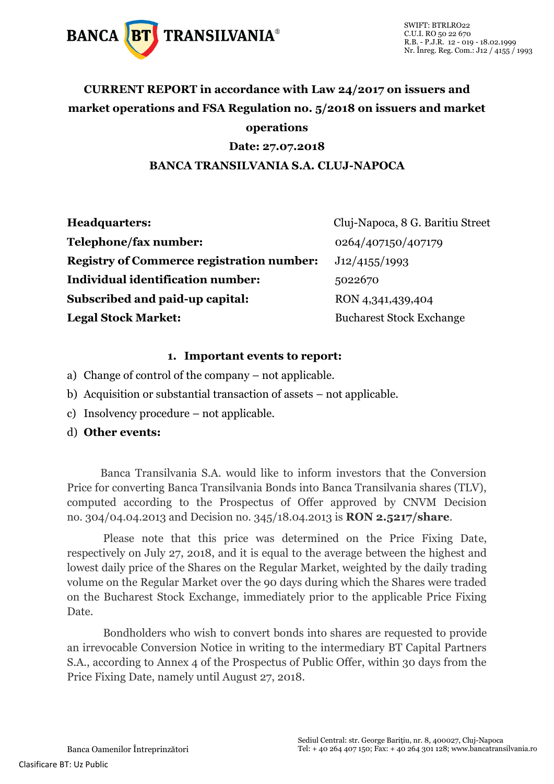

### **CURRENT REPORT in accordance with Law 24/2017 on issuers and market operations and FSA Regulation no. 5/2018 on issuers and market operations**

#### **Date: 27.07.2018**

#### **BANCA TRANSILVANIA S.A. CLUJ-NAPOCA**

| <b>Headquarters:</b>                             | Cluj-Napoca, 8 G. Baritiu Street |
|--------------------------------------------------|----------------------------------|
| Telephone/fax number:                            | 0264/407150/407179               |
| <b>Registry of Commerce registration number:</b> | J12/4155/1993                    |
| Individual identification number:                | 5022670                          |
| Subscribed and paid-up capital:                  | RON 4,341,439,404                |
| <b>Legal Stock Market:</b>                       | <b>Bucharest Stock Exchange</b>  |

#### **1. Important events to report:**

- a) Change of control of the company not applicable.
- b) Acquisition or substantial transaction of assets not applicable.
- c) Insolvency procedure not applicable.
- d) **Other events:**

Banca Transilvania S.A. would like to inform investors that the Conversion Price for converting Banca Transilvania Bonds into Banca Transilvania shares (TLV), computed according to the Prospectus of Offer approved by CNVM Decision no. 304/04.04.2013 and Decision no. 345/18.04.2013 is **RON 2.5217/share**.

Please note that this price was determined on the Price Fixing Date, respectively on July 27, 2018, and it is equal to the average between the highest and lowest daily price of the Shares on the Regular Market, weighted by the daily trading volume on the Regular Market over the 90 days during which the Shares were traded on the Bucharest Stock Exchange, immediately prior to the applicable Price Fixing Date.

Bondholders who wish to convert bonds into shares are requested to provide an irrevocable Conversion Notice in writing to the intermediary BT Capital Partners S.A., according to Annex 4 of the Prospectus of Public Offer, within 30 days from the Price Fixing Date, namely until August 27, 2018.